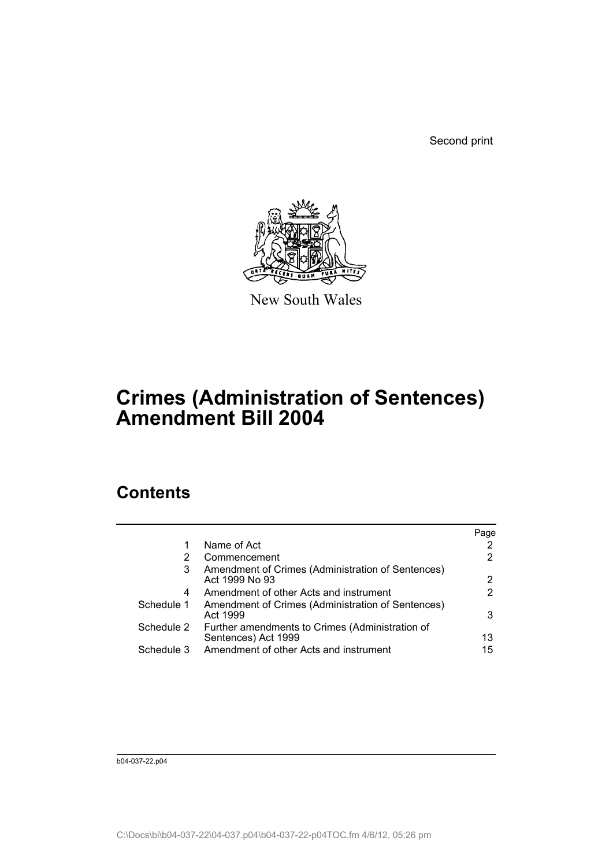Second print



New South Wales

# **Crimes (Administration of Sentences) Amendment Bill 2004**

# **Contents**

|            |                                                                        | Page           |
|------------|------------------------------------------------------------------------|----------------|
| 1          | Name of Act                                                            | 2              |
| 2          | Commencement                                                           | 2              |
| 3          | Amendment of Crimes (Administration of Sentences)<br>Act 1999 No 93    | $\overline{2}$ |
| 4          | Amendment of other Acts and instrument                                 | 2              |
| Schedule 1 | Amendment of Crimes (Administration of Sentences)<br>Act 1999          | 3              |
| Schedule 2 | Further amendments to Crimes (Administration of<br>Sentences) Act 1999 | 13             |
| Schedule 3 | Amendment of other Acts and instrument                                 | 15             |
|            |                                                                        |                |

b04-037-22.p04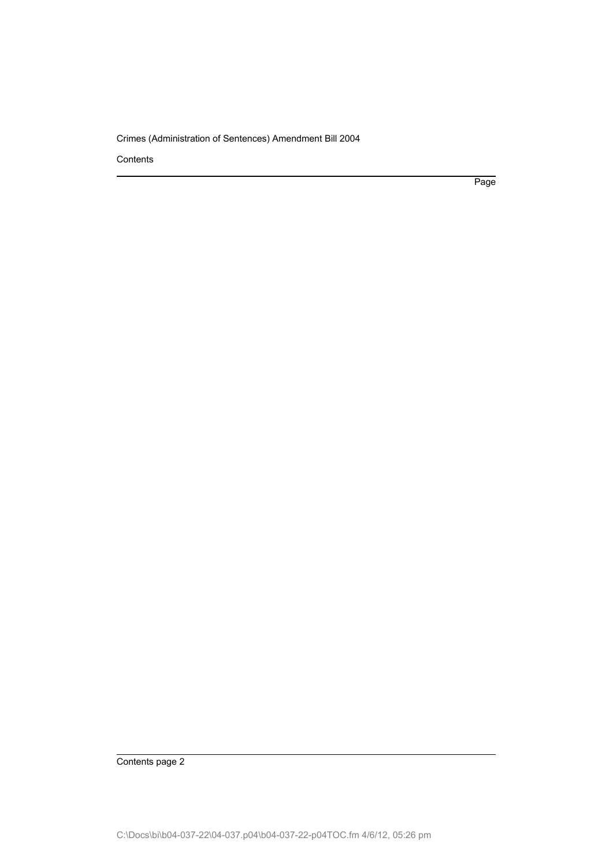Contents

Page

Contents page 2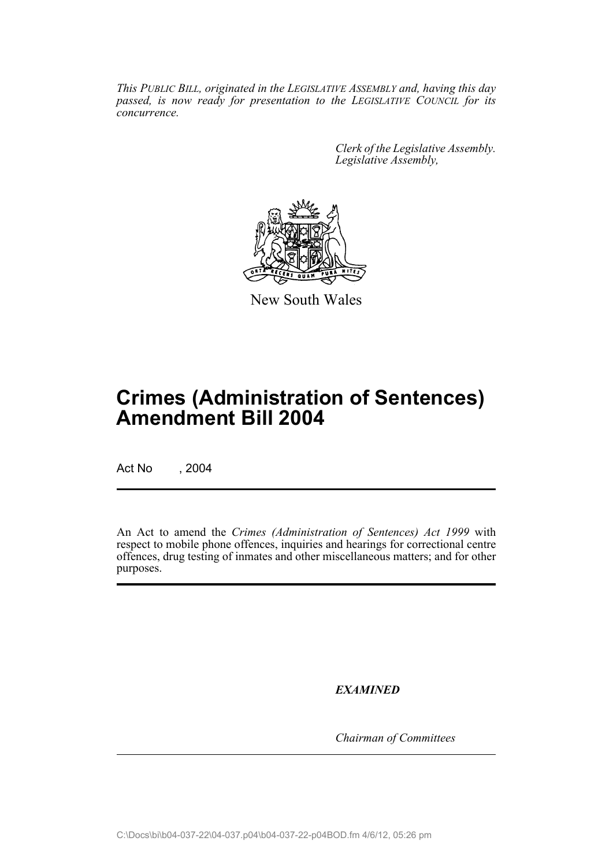*This PUBLIC BILL, originated in the LEGISLATIVE ASSEMBLY and, having this day passed, is now ready for presentation to the LEGISLATIVE COUNCIL for its concurrence.*

> *Clerk of the Legislative Assembly. Legislative Assembly,*



New South Wales

# **Crimes (Administration of Sentences) Amendment Bill 2004**

Act No , 2004

An Act to amend the *Crimes (Administration of Sentences) Act 1999* with respect to mobile phone offences, inquiries and hearings for correctional centre offences, drug testing of inmates and other miscellaneous matters; and for other purposes.

*EXAMINED*

*Chairman of Committees*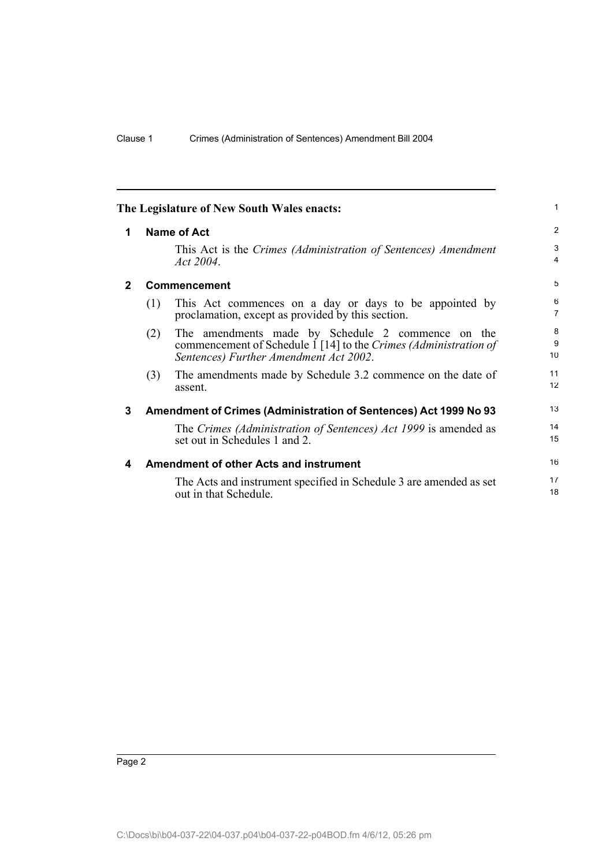|              | The Legislature of New South Wales enacts:                                                                                                                             | 1                   |  |  |  |  |
|--------------|------------------------------------------------------------------------------------------------------------------------------------------------------------------------|---------------------|--|--|--|--|
| 1            | <b>Name of Act</b>                                                                                                                                                     |                     |  |  |  |  |
|              | This Act is the Crimes (Administration of Sentences) Amendment<br>Act 2004.                                                                                            | 3<br>$\overline{4}$ |  |  |  |  |
| $\mathbf{2}$ | Commencement                                                                                                                                                           | 5                   |  |  |  |  |
|              | This Act commences on a day or days to be appointed by<br>(1)<br>proclamation, except as provided by this section.                                                     | 6<br>$\overline{7}$ |  |  |  |  |
|              | The amendments made by Schedule 2 commence on the<br>(2)<br>commencement of Schedule 1 [14] to the Crimes (Administration of<br>Sentences) Further Amendment Act 2002. | 8<br>9<br>10        |  |  |  |  |
|              | The amendments made by Schedule 3.2 commence on the date of<br>(3)<br>assent.                                                                                          | 11<br>12            |  |  |  |  |
| 3            | Amendment of Crimes (Administration of Sentences) Act 1999 No 93                                                                                                       | 13                  |  |  |  |  |
|              | The Crimes (Administration of Sentences) Act 1999 is amended as<br>set out in Schedules 1 and 2.                                                                       | 14<br>15            |  |  |  |  |
| 4            | <b>Amendment of other Acts and instrument</b>                                                                                                                          | 16                  |  |  |  |  |
|              | The Acts and instrument specified in Schedule 3 are amended as set<br>out in that Schedule.                                                                            | 17<br>18            |  |  |  |  |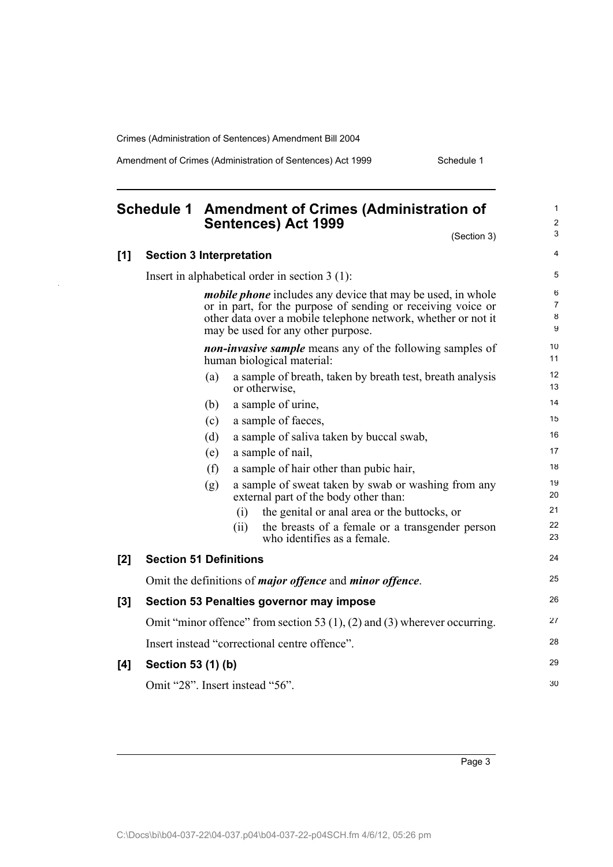Amendment of Crimes (Administration of Sentences) Act 1999 Schedule 1

|       |                                 |     |      | Schedule 1 Amendment of Crimes (Administration of<br><b>Sentences) Act 1999</b><br>(Section 3)                                                                                                                                     | $\mathbf{1}$<br>$\overline{2}$<br>$\mathbf{3}$ |
|-------|---------------------------------|-----|------|------------------------------------------------------------------------------------------------------------------------------------------------------------------------------------------------------------------------------------|------------------------------------------------|
| [1]   | <b>Section 3 Interpretation</b> |     |      |                                                                                                                                                                                                                                    | 4                                              |
|       |                                 |     |      |                                                                                                                                                                                                                                    | 5                                              |
|       |                                 |     |      | Insert in alphabetical order in section $3(1)$ :                                                                                                                                                                                   |                                                |
|       |                                 |     |      | mobile phone includes any device that may be used, in whole<br>or in part, for the purpose of sending or receiving voice or<br>other data over a mobile telephone network, whether or not it<br>may be used for any other purpose. | 6<br>$\overline{7}$<br>8<br>9                  |
|       |                                 |     |      | <i>non-invasive sample</i> means any of the following samples of<br>human biological material:                                                                                                                                     | 10<br>11                                       |
|       |                                 | (a) |      | a sample of breath, taken by breath test, breath analysis<br>or otherwise,                                                                                                                                                         | 12<br>13                                       |
|       |                                 | (b) |      | a sample of urine,                                                                                                                                                                                                                 | 14                                             |
|       |                                 | (c) |      | a sample of faeces,                                                                                                                                                                                                                | 15                                             |
|       |                                 | (d) |      | a sample of saliva taken by buccal swab,                                                                                                                                                                                           | 16                                             |
|       |                                 | (e) |      | a sample of nail,                                                                                                                                                                                                                  | 17                                             |
|       |                                 | (f) |      | a sample of hair other than pubic hair,                                                                                                                                                                                            | 18                                             |
|       |                                 | (g) |      | a sample of sweat taken by swab or washing from any<br>external part of the body other than:                                                                                                                                       | 19<br>20                                       |
|       |                                 |     | (i)  | the genital or anal area or the buttocks, or                                                                                                                                                                                       | 21                                             |
|       |                                 |     | (ii) | the breasts of a female or a transgender person<br>who identifies as a female.                                                                                                                                                     | 22<br>23                                       |
| [2]   | <b>Section 51 Definitions</b>   |     |      |                                                                                                                                                                                                                                    | 24                                             |
|       |                                 |     |      | Omit the definitions of <i>major offence</i> and <i>minor offence</i> .                                                                                                                                                            | 25                                             |
| $[3]$ |                                 |     |      | Section 53 Penalties governor may impose                                                                                                                                                                                           | 26                                             |
|       |                                 |     |      | Omit "minor offence" from section 53 $(1)$ , $(2)$ and $(3)$ wherever occurring.                                                                                                                                                   | 27                                             |
|       |                                 |     |      | Insert instead "correctional centre offence".                                                                                                                                                                                      | 28                                             |
| [4]   | Section 53 (1) (b)              |     |      |                                                                                                                                                                                                                                    | 29                                             |
|       | Omit "28". Insert instead "56". |     |      |                                                                                                                                                                                                                                    | 30                                             |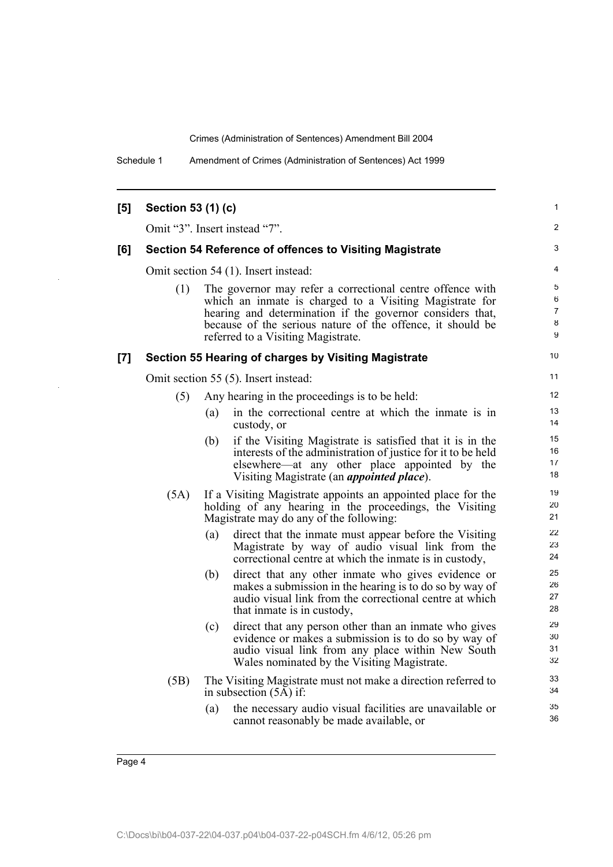Schedule 1 Amendment of Crimes (Administration of Sentences) Act 1999

| [5]                | Section 53 (1) (c)                                      |                                                                                                                                                                                                                                                                                       |                      |  |  |  |
|--------------------|---------------------------------------------------------|---------------------------------------------------------------------------------------------------------------------------------------------------------------------------------------------------------------------------------------------------------------------------------------|----------------------|--|--|--|
|                    |                                                         | Omit "3". Insert instead "7".                                                                                                                                                                                                                                                         | 2                    |  |  |  |
| [6]                | Section 54 Reference of offences to Visiting Magistrate |                                                                                                                                                                                                                                                                                       |                      |  |  |  |
|                    |                                                         | Omit section 54 (1). Insert instead:                                                                                                                                                                                                                                                  |                      |  |  |  |
|                    | (1)                                                     | The governor may refer a correctional centre offence with<br>which an inmate is charged to a Visiting Magistrate for<br>hearing and determination if the governor considers that,<br>because of the serious nature of the offence, it should be<br>referred to a Visiting Magistrate. |                      |  |  |  |
| $\left[ 7 \right]$ |                                                         | Section 55 Hearing of charges by Visiting Magistrate                                                                                                                                                                                                                                  | 10                   |  |  |  |
|                    |                                                         | Omit section 55 (5). Insert instead:                                                                                                                                                                                                                                                  | 11                   |  |  |  |
|                    | (5)                                                     | Any hearing in the proceedings is to be held:                                                                                                                                                                                                                                         | 12                   |  |  |  |
|                    |                                                         | in the correctional centre at which the inmate is in<br>(a)<br>custody, or                                                                                                                                                                                                            | 13<br>14             |  |  |  |
|                    |                                                         | if the Visiting Magistrate is satisfied that it is in the<br>(b)<br>interests of the administration of justice for it to be held<br>elsewhere—at any other place appointed by the<br>Visiting Magistrate (an <i>appointed place</i> ).                                                | 15<br>16<br>17<br>18 |  |  |  |
|                    | (5A)                                                    | If a Visiting Magistrate appoints an appointed place for the<br>holding of any hearing in the proceedings, the Visiting<br>Magistrate may do any of the following:                                                                                                                    | 19<br>20<br>21       |  |  |  |
|                    |                                                         | direct that the inmate must appear before the Visiting<br>(a)<br>Magistrate by way of audio visual link from the<br>correctional centre at which the inmate is in custody,                                                                                                            | 22<br>23<br>24       |  |  |  |
|                    |                                                         | direct that any other inmate who gives evidence or<br>(b)<br>makes a submission in the hearing is to do so by way of<br>audio visual link from the correctional centre at which<br>that inmate is in custody,                                                                         | 25<br>26<br>27<br>28 |  |  |  |
|                    |                                                         | (c)<br>direct that any person other than an inmate who gives<br>evidence or makes a submission is to do so by way of<br>audio visual link from any place within New South<br>Wales nominated by the Visiting Magistrate.                                                              | 29<br>30<br>31<br>32 |  |  |  |
|                    | (5B)                                                    | The Visiting Magistrate must not make a direction referred to<br>in subsection $(5A)$ if:                                                                                                                                                                                             | 33<br>34             |  |  |  |
|                    |                                                         | the necessary audio visual facilities are unavailable or<br>(a)<br>cannot reasonably be made available, or                                                                                                                                                                            | 35<br>36             |  |  |  |

 $\ddot{\phantom{a}}$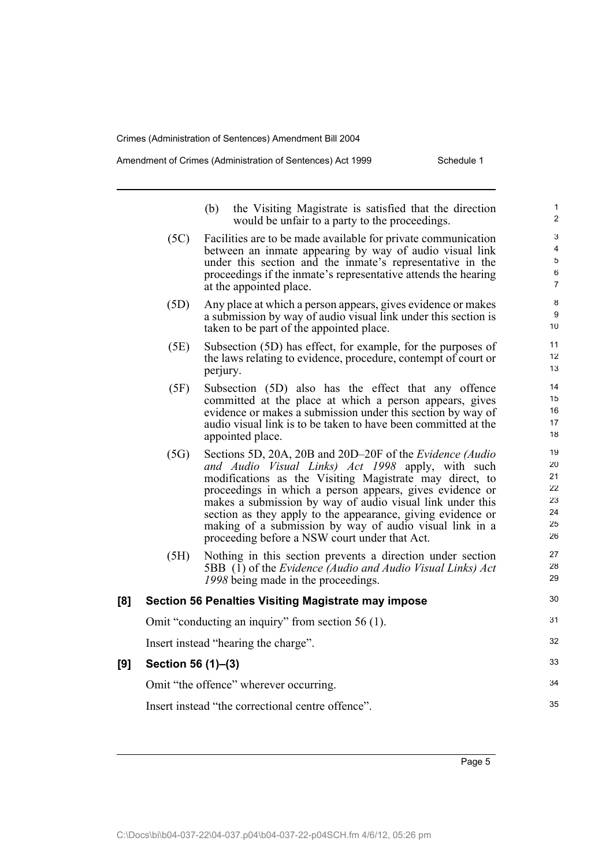Amendment of Crimes (Administration of Sentences) Act 1999 Schedule 1

|     |                    | (b)<br>the Visiting Magistrate is satisfied that the direction<br>would be unfair to a party to the proceedings.                                                                                                                                                                                                                                                                                                                                                                      | 1<br>$\overline{2}$                          |
|-----|--------------------|---------------------------------------------------------------------------------------------------------------------------------------------------------------------------------------------------------------------------------------------------------------------------------------------------------------------------------------------------------------------------------------------------------------------------------------------------------------------------------------|----------------------------------------------|
|     | (5C)               | Facilities are to be made available for private communication<br>between an inmate appearing by way of audio visual link<br>under this section and the inmate's representative in the<br>proceedings if the inmate's representative attends the hearing<br>at the appointed place.                                                                                                                                                                                                    | 3<br>4<br>5<br>6<br>7                        |
|     | (5D)               | Any place at which a person appears, gives evidence or makes<br>a submission by way of audio visual link under this section is<br>taken to be part of the appointed place.                                                                                                                                                                                                                                                                                                            | 8<br>9<br>10                                 |
|     | (5E)               | Subsection (5D) has effect, for example, for the purposes of<br>the laws relating to evidence, procedure, contempt of court or<br>perjury.                                                                                                                                                                                                                                                                                                                                            | 11<br>12 <sup>2</sup><br>13                  |
|     | (5F)               | Subsection (5D) also has the effect that any offence<br>committed at the place at which a person appears, gives<br>evidence or makes a submission under this section by way of<br>audio visual link is to be taken to have been committed at the<br>appointed place.                                                                                                                                                                                                                  | 14<br>15<br>16<br>17<br>18                   |
|     | (5G)               | Sections 5D, 20A, 20B and 20D–20F of the <i>Evidence (Audio</i> )<br>and Audio Visual Links) Act 1998 apply, with such<br>modifications as the Visiting Magistrate may direct, to<br>proceedings in which a person appears, gives evidence or<br>makes a submission by way of audio visual link under this<br>section as they apply to the appearance, giving evidence or<br>making of a submission by way of audio visual link in a<br>proceeding before a NSW court under that Act. | 19<br>20<br>21<br>22<br>23<br>24<br>25<br>26 |
|     | (5H)               | Nothing in this section prevents a direction under section<br>5BB (1) of the Evidence (Audio and Audio Visual Links) Act<br>1998 being made in the proceedings.                                                                                                                                                                                                                                                                                                                       | 27<br>28<br>29                               |
| [8] |                    | <b>Section 56 Penalties Visiting Magistrate may impose</b>                                                                                                                                                                                                                                                                                                                                                                                                                            | 30                                           |
|     |                    | Omit "conducting an inquiry" from section 56 (1).                                                                                                                                                                                                                                                                                                                                                                                                                                     | 31                                           |
|     |                    | Insert instead "hearing the charge".                                                                                                                                                                                                                                                                                                                                                                                                                                                  | 32                                           |
| [9] | Section 56 (1)-(3) |                                                                                                                                                                                                                                                                                                                                                                                                                                                                                       | 33                                           |
|     |                    | Omit "the offence" wherever occurring.                                                                                                                                                                                                                                                                                                                                                                                                                                                | 34                                           |
|     |                    | Insert instead "the correctional centre offence".                                                                                                                                                                                                                                                                                                                                                                                                                                     | 35                                           |
|     |                    |                                                                                                                                                                                                                                                                                                                                                                                                                                                                                       |                                              |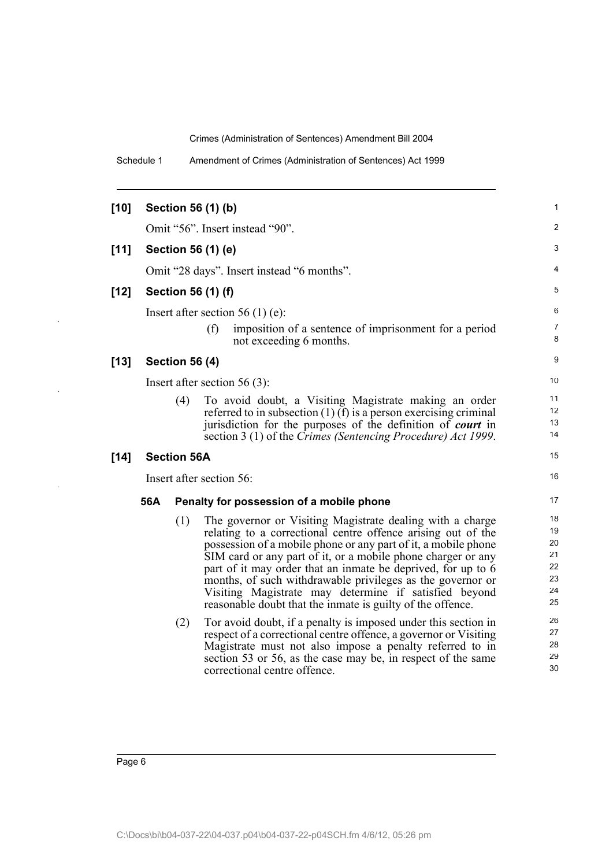Schedule 1 Amendment of Crimes (Administration of Sentences) Act 1999

| $[10]$ |                                                 |                       | Section 56 (1) (b)                         |                                                                                                                                                                                                                                                                                                                                                                                                                                                                                                                                                                                    | 1                                                  |
|--------|-------------------------------------------------|-----------------------|--------------------------------------------|------------------------------------------------------------------------------------------------------------------------------------------------------------------------------------------------------------------------------------------------------------------------------------------------------------------------------------------------------------------------------------------------------------------------------------------------------------------------------------------------------------------------------------------------------------------------------------|----------------------------------------------------|
|        |                                                 |                       | Omit "56". Insert instead "90".            |                                                                                                                                                                                                                                                                                                                                                                                                                                                                                                                                                                                    | 2                                                  |
| $[11]$ |                                                 |                       | Section 56 (1) (e)                         |                                                                                                                                                                                                                                                                                                                                                                                                                                                                                                                                                                                    | 3                                                  |
|        |                                                 |                       | Omit "28 days". Insert instead "6 months". |                                                                                                                                                                                                                                                                                                                                                                                                                                                                                                                                                                                    | 4                                                  |
| $[12]$ |                                                 | Section 56 (1) (f)    |                                            |                                                                                                                                                                                                                                                                                                                                                                                                                                                                                                                                                                                    | 5                                                  |
|        |                                                 |                       | Insert after section 56 (1) (e):           |                                                                                                                                                                                                                                                                                                                                                                                                                                                                                                                                                                                    | 6                                                  |
|        |                                                 |                       | (f)<br>not exceeding 6 months.             | imposition of a sentence of imprisonment for a period                                                                                                                                                                                                                                                                                                                                                                                                                                                                                                                              | $\overline{7}$<br>8                                |
| $[13]$ |                                                 | <b>Section 56 (4)</b> |                                            |                                                                                                                                                                                                                                                                                                                                                                                                                                                                                                                                                                                    | 9                                                  |
|        | Insert after section 56 $(3)$ :                 |                       |                                            |                                                                                                                                                                                                                                                                                                                                                                                                                                                                                                                                                                                    | 10                                                 |
|        |                                                 | (4)                   |                                            | To avoid doubt, a Visiting Magistrate making an order<br>referred to in subsection $(1)$ (f) is a person exercising criminal<br>jurisdiction for the purposes of the definition of <b><i>court</i></b> in<br>section 3 (1) of the Crimes (Sentencing Procedure) Act 1999.                                                                                                                                                                                                                                                                                                          | 11<br>12<br>13<br>14                               |
| $[14]$ |                                                 | <b>Section 56A</b>    |                                            |                                                                                                                                                                                                                                                                                                                                                                                                                                                                                                                                                                                    | 15                                                 |
|        |                                                 |                       | Insert after section 56:                   |                                                                                                                                                                                                                                                                                                                                                                                                                                                                                                                                                                                    | 16                                                 |
|        | 56A<br>Penalty for possession of a mobile phone |                       |                                            |                                                                                                                                                                                                                                                                                                                                                                                                                                                                                                                                                                                    | 17                                                 |
|        |                                                 | (1)<br>(2)            |                                            | The governor or Visiting Magistrate dealing with a charge<br>relating to a correctional centre offence arising out of the<br>possession of a mobile phone or any part of it, a mobile phone<br>SIM card or any part of it, or a mobile phone charger or any<br>part of it may order that an inmate be deprived, for up to 6<br>months, of such withdrawable privileges as the governor or<br>Visiting Magistrate may determine if satisfied beyond<br>reasonable doubt that the inmate is guilty of the offence.<br>Tor avoid doubt, if a penalty is imposed under this section in | 18<br>19<br>20<br>21<br>22<br>23<br>24<br>25<br>26 |
|        |                                                 |                       | correctional centre offence.               | respect of a correctional centre offence, a governor or Visiting<br>Magistrate must not also impose a penalty referred to in<br>section 53 or 56, as the case may be, in respect of the same                                                                                                                                                                                                                                                                                                                                                                                       | 27<br>28<br>29<br>30                               |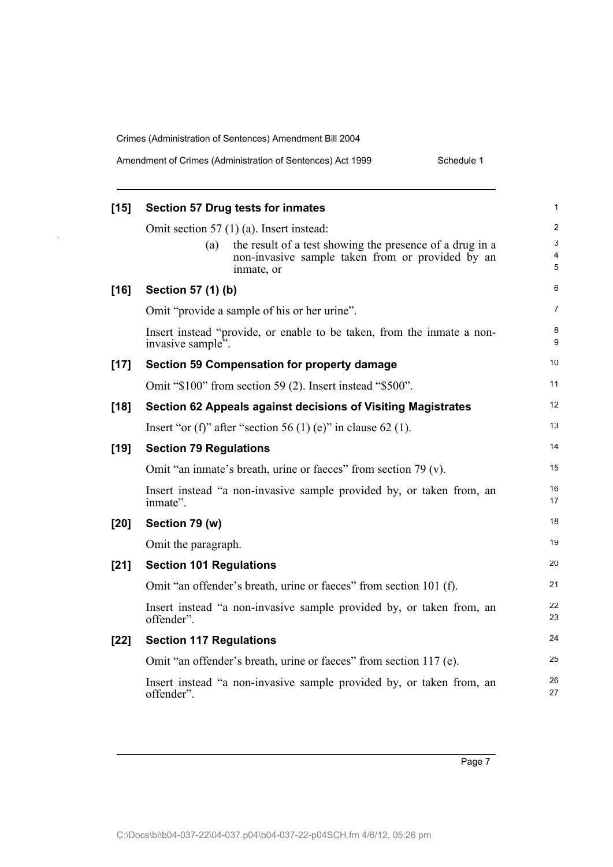| [15]   | <b>Section 57 Drug tests for inmates</b>                                                                                          | 1              |
|--------|-----------------------------------------------------------------------------------------------------------------------------------|----------------|
|        | Omit section 57 $(1)$ $(a)$ . Insert instead:                                                                                     | $\overline{c}$ |
|        | the result of a test showing the presence of a drug in a<br>(a)<br>non-invasive sample taken from or provided by an<br>inmate, or | 3<br>4<br>5    |
| $[16]$ | Section 57 (1) (b)                                                                                                                | 6              |
|        | Omit "provide a sample of his or her urine".                                                                                      | 7              |
|        | Insert instead "provide, or enable to be taken, from the inmate a non-<br>invasive sample".                                       | 8<br>9         |
| $[17]$ | Section 59 Compensation for property damage                                                                                       | 10             |
|        | Omit "\$100" from section 59 (2). Insert instead "\$500".                                                                         | 11             |
| $[18]$ | Section 62 Appeals against decisions of Visiting Magistrates                                                                      | 12             |
|        | Insert "or (f)" after "section 56 (1) (e)" in clause 62 (1).                                                                      | 13             |
| $[19]$ | <b>Section 79 Regulations</b>                                                                                                     | 14             |
|        | Omit "an inmate's breath, urine or faeces" from section 79 (v).                                                                   | 15             |
|        | Insert instead "a non-invasive sample provided by, or taken from, an<br>inmate".                                                  | 16<br>17       |
| $[20]$ | Section 79 (w)                                                                                                                    | 18             |
|        | Omit the paragraph.                                                                                                               | 19             |
| [21]   | <b>Section 101 Regulations</b>                                                                                                    | 20             |
|        | Omit "an offender's breath, urine or faeces" from section 101 (f).                                                                | 21             |
|        | Insert instead "a non-invasive sample provided by, or taken from, an<br>offender".                                                | 22<br>23       |
| $[22]$ | <b>Section 117 Regulations</b>                                                                                                    | 24             |
|        | Omit "an offender's breath, urine or faeces" from section 117 (e).                                                                | 25             |
|        | Insert instead "a non-invasive sample provided by, or taken from, an<br>offender".                                                | 26<br>27       |
|        |                                                                                                                                   |                |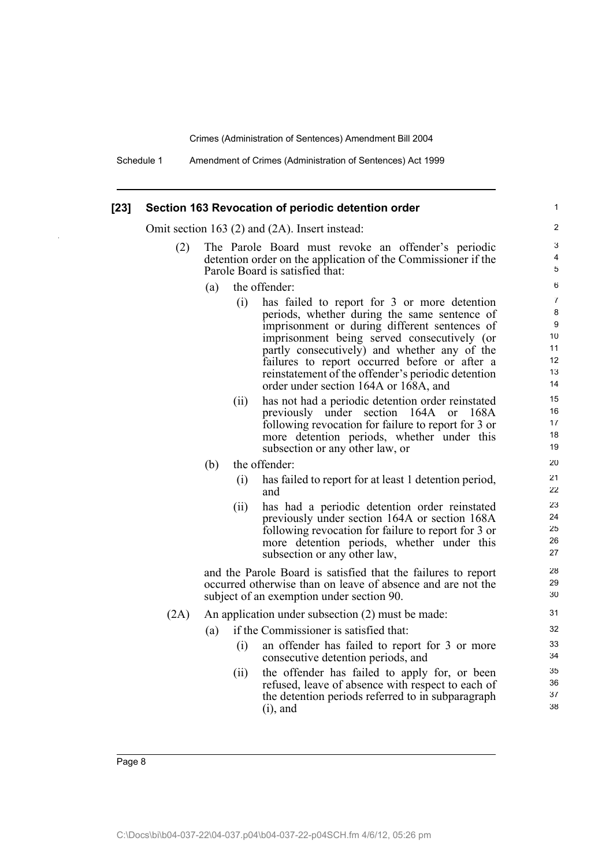Schedule 1 Amendment of Crimes (Administration of Sentences) Act 1999

### **[23] Section 163 Revocation of periodic detention order**

Omit section 163 (2) and (2A). Insert instead:

- (2) The Parole Board must revoke an offender's periodic detention order on the application of the Commissioner if the Parole Board is satisfied that:
	- (a) the offender:
		- (i) has failed to report for 3 or more detention periods, whether during the same sentence of imprisonment or during different sentences of imprisonment being served consecutively (or partly consecutively) and whether any of the failures to report occurred before or after a reinstatement of the offender's periodic detention order under section 164A or 168A, and

- (ii) has not had a periodic detention order reinstated previously under section 164A or 168A following revocation for failure to report for 3 or more detention periods, whether under this subsection or any other law, or
- (b) the offender:
	- (i) has failed to report for at least 1 detention period, and
	- (ii) has had a periodic detention order reinstated previously under section 164A or section 168A following revocation for failure to report for 3 or more detention periods, whether under this subsection or any other law,

and the Parole Board is satisfied that the failures to report occurred otherwise than on leave of absence and are not the subject of an exemption under section 90.

- (2A) An application under subsection (2) must be made:
	- (a) if the Commissioner is satisfied that:
		- (i) an offender has failed to report for 3 or more consecutive detention periods, and
		- (ii) the offender has failed to apply for, or been refused, leave of absence with respect to each of the detention periods referred to in subparagraph  $(i)$ , and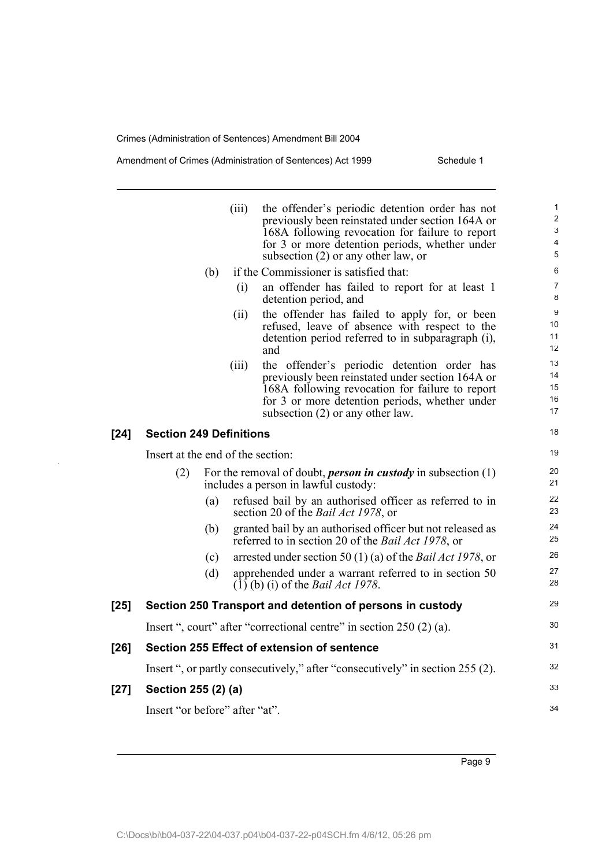### Amendment of Crimes (Administration of Sentences) Act 1999 Schedule 1

|                                                                                                                                                             |                                   |     | (iii) | the offender's periodic detention order has not<br>previously been reinstated under section 164A or<br>168A following revocation for failure to report<br>for 3 or more detention periods, whether under<br>subsection $(2)$ or any other law, or | $\mathbf{1}$<br>$\mathbf 2$<br>$\mathsf 3$<br>$\overline{\mathbf{4}}$<br>5 |
|-------------------------------------------------------------------------------------------------------------------------------------------------------------|-----------------------------------|-----|-------|---------------------------------------------------------------------------------------------------------------------------------------------------------------------------------------------------------------------------------------------------|----------------------------------------------------------------------------|
|                                                                                                                                                             |                                   | (b) |       | if the Commissioner is satisfied that:                                                                                                                                                                                                            | 6                                                                          |
|                                                                                                                                                             |                                   |     | (i)   | an offender has failed to report for at least 1<br>detention period, and                                                                                                                                                                          | $\overline{7}$<br>8                                                        |
|                                                                                                                                                             |                                   |     | (ii)  | the offender has failed to apply for, or been<br>refused, leave of absence with respect to the<br>detention period referred to in subparagraph (i),<br>and                                                                                        | 9<br>10 <sup>°</sup><br>11<br>12                                           |
|                                                                                                                                                             |                                   |     | (iii) | the offender's periodic detention order has<br>previously been reinstated under section 164A or<br>168A following revocation for failure to report<br>for 3 or more detention periods, whether under<br>subsection $(2)$ or any other law.        | 13<br>14<br>15<br>16<br>17                                                 |
| [24]                                                                                                                                                        | <b>Section 249 Definitions</b>    |     |       |                                                                                                                                                                                                                                                   | 18                                                                         |
|                                                                                                                                                             | Insert at the end of the section: |     |       |                                                                                                                                                                                                                                                   | 19                                                                         |
|                                                                                                                                                             | (2)                               |     |       | For the removal of doubt, <i>person in custody</i> in subsection $(1)$<br>includes a person in lawful custody:                                                                                                                                    | 20<br>21                                                                   |
|                                                                                                                                                             |                                   | (a) |       | refused bail by an authorised officer as referred to in<br>section 20 of the <i>Bail Act 1978</i> , or                                                                                                                                            | 22<br>23                                                                   |
|                                                                                                                                                             |                                   | (b) |       | granted bail by an authorised officer but not released as<br>referred to in section 20 of the <i>Bail Act 1978</i> , or                                                                                                                           | 24<br>25                                                                   |
|                                                                                                                                                             |                                   | (c) |       | arrested under section 50 (1) (a) of the <i>Bail Act 1978</i> , or                                                                                                                                                                                | 26                                                                         |
|                                                                                                                                                             |                                   | (d) |       | apprehended under a warrant referred to in section 50<br>$(1)$ (b) (i) of the <i>Bail Act 1978</i> .                                                                                                                                              | 27<br>28                                                                   |
| $[25] % \includegraphics[width=0.9\columnwidth]{figures/fig_1a} \caption{Schematic diagram of the top of the top of the top of the right.} \label{fig:1} %$ |                                   |     |       | Section 250 Transport and detention of persons in custody                                                                                                                                                                                         | 29                                                                         |
|                                                                                                                                                             |                                   |     |       | Insert ", court" after "correctional centre" in section 250 (2) (a).                                                                                                                                                                              | 30                                                                         |
| [26]                                                                                                                                                        |                                   |     |       | Section 255 Effect of extension of sentence                                                                                                                                                                                                       | 31                                                                         |
|                                                                                                                                                             |                                   |     |       | Insert ", or partly consecutively," after "consecutively" in section 255 (2).                                                                                                                                                                     | 32                                                                         |
| [27]                                                                                                                                                        | Section 255 (2) (a)               |     |       |                                                                                                                                                                                                                                                   | 33                                                                         |
|                                                                                                                                                             | Insert "or before" after "at".    |     |       |                                                                                                                                                                                                                                                   | 34                                                                         |
|                                                                                                                                                             |                                   |     |       |                                                                                                                                                                                                                                                   |                                                                            |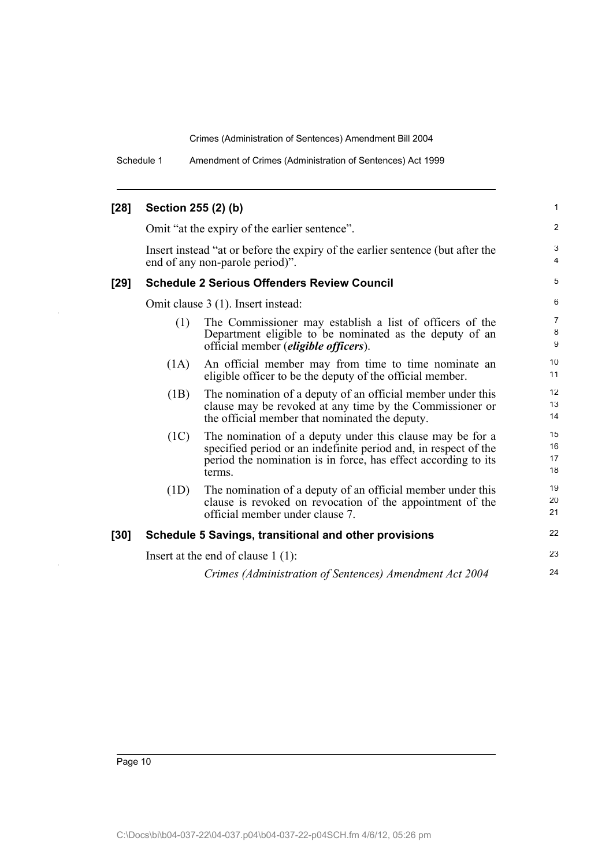Schedule 1 Amendment of Crimes (Administration of Sentences) Act 1999

| $[28]$ | Section 255 (2) (b)                                                                                               |                                                                                                                                                                                                          | $\mathbf{1}$             |  |  |  |  |
|--------|-------------------------------------------------------------------------------------------------------------------|----------------------------------------------------------------------------------------------------------------------------------------------------------------------------------------------------------|--------------------------|--|--|--|--|
|        | Omit "at the expiry of the earlier sentence".                                                                     |                                                                                                                                                                                                          |                          |  |  |  |  |
|        | Insert instead "at or before the expiry of the earlier sentence (but after the<br>end of any non-parole period)". |                                                                                                                                                                                                          |                          |  |  |  |  |
| $[29]$ |                                                                                                                   | <b>Schedule 2 Serious Offenders Review Council</b>                                                                                                                                                       | 5                        |  |  |  |  |
|        |                                                                                                                   | Omit clause 3 (1). Insert instead:                                                                                                                                                                       | 6                        |  |  |  |  |
|        | (1)                                                                                                               | The Commissioner may establish a list of officers of the<br>Department eligible to be nominated as the deputy of an<br>official member <i>(eligible officers)</i> .                                      | $\overline{7}$<br>8<br>9 |  |  |  |  |
|        | (1A)                                                                                                              | An official member may from time to time nominate an<br>eligible officer to be the deputy of the official member.                                                                                        | 10<br>11                 |  |  |  |  |
|        | (1B)                                                                                                              | The nomination of a deputy of an official member under this<br>clause may be revoked at any time by the Commissioner or<br>the official member that nominated the deputy.                                | 12<br>13<br>14           |  |  |  |  |
|        | (1C)                                                                                                              | The nomination of a deputy under this clause may be for a<br>specified period or an indefinite period and, in respect of the<br>period the nomination is in force, has effect according to its<br>terms. | 15<br>16<br>17<br>18     |  |  |  |  |
|        | (1D)                                                                                                              | The nomination of a deputy of an official member under this<br>clause is revoked on revocation of the appointment of the<br>official member under clause 7.                                              | 19<br>20<br>21           |  |  |  |  |
| $[30]$ |                                                                                                                   | <b>Schedule 5 Savings, transitional and other provisions</b>                                                                                                                                             | 22                       |  |  |  |  |
|        |                                                                                                                   | Insert at the end of clause $1(1)$ :                                                                                                                                                                     | 23                       |  |  |  |  |
|        |                                                                                                                   | Crimes (Administration of Sentences) Amendment Act 2004                                                                                                                                                  | 24                       |  |  |  |  |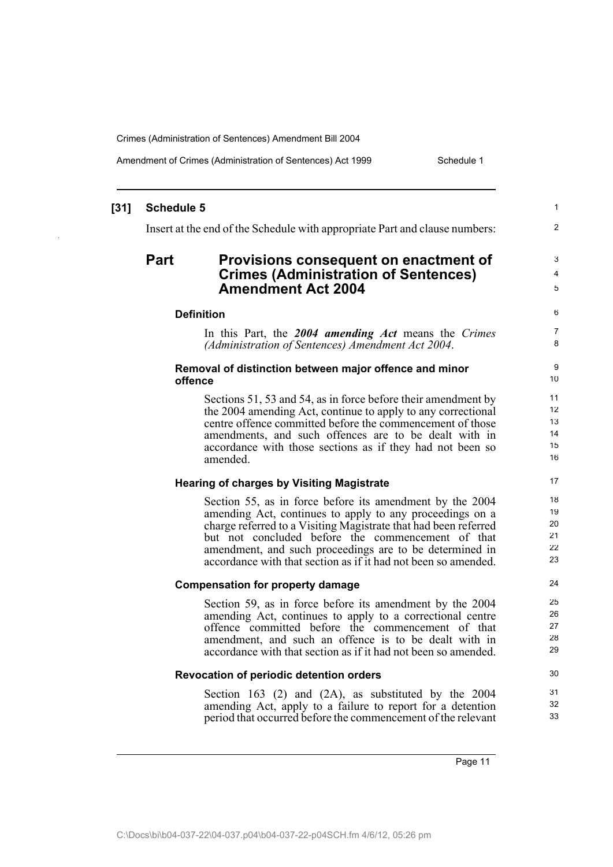Amendment of Crimes (Administration of Sentences) Act 1999 Schedule 1

| Insert at the end of the Schedule with appropriate Part and clause numbers:<br><b>Part</b><br>Provisions consequent on enactment of<br><b>Crimes (Administration of Sentences)</b><br><b>Amendment Act 2004</b>                                                                                                                                                           | $\overline{c}$<br>3<br>4<br>5<br>6<br>7<br>8<br>9 |
|---------------------------------------------------------------------------------------------------------------------------------------------------------------------------------------------------------------------------------------------------------------------------------------------------------------------------------------------------------------------------|---------------------------------------------------|
|                                                                                                                                                                                                                                                                                                                                                                           |                                                   |
|                                                                                                                                                                                                                                                                                                                                                                           |                                                   |
| <b>Definition</b>                                                                                                                                                                                                                                                                                                                                                         |                                                   |
| In this Part, the 2004 amending Act means the Crimes<br>(Administration of Sentences) Amendment Act 2004.                                                                                                                                                                                                                                                                 |                                                   |
| Removal of distinction between major offence and minor<br>offence                                                                                                                                                                                                                                                                                                         | 10                                                |
| Sections 51, 53 and 54, as in force before their amendment by<br>the 2004 amending Act, continue to apply to any correctional<br>centre offence committed before the commencement of those<br>amendments, and such offences are to be dealt with in<br>accordance with those sections as if they had not been so<br>amended.                                              | 11<br>12<br>13<br>14<br>15<br>16                  |
| <b>Hearing of charges by Visiting Magistrate</b>                                                                                                                                                                                                                                                                                                                          | 17                                                |
| Section 55, as in force before its amendment by the 2004<br>amending Act, continues to apply to any proceedings on a<br>charge referred to a Visiting Magistrate that had been referred<br>but not concluded before the commencement of that<br>amendment, and such proceedings are to be determined in<br>accordance with that section as if it had not been so amended. | 18<br>19<br>20<br>21<br>22<br>23                  |
| <b>Compensation for property damage</b>                                                                                                                                                                                                                                                                                                                                   | 24                                                |
| Section 59, as in force before its amendment by the 2004<br>amending Act, continues to apply to a correctional centre<br>offence committed before the commencement of that<br>amendment, and such an offence is to be dealt with in<br>accordance with that section as if it had not been so amended.                                                                     | 25<br>26<br>27<br>28<br>29                        |
| Revocation of periodic detention orders                                                                                                                                                                                                                                                                                                                                   | 30                                                |
| Section 163 (2) and (2A), as substituted by the 2004<br>amending Act, apply to a failure to report for a detention<br>period that occurred before the commencement of the relevant                                                                                                                                                                                        | 31<br>32<br>33                                    |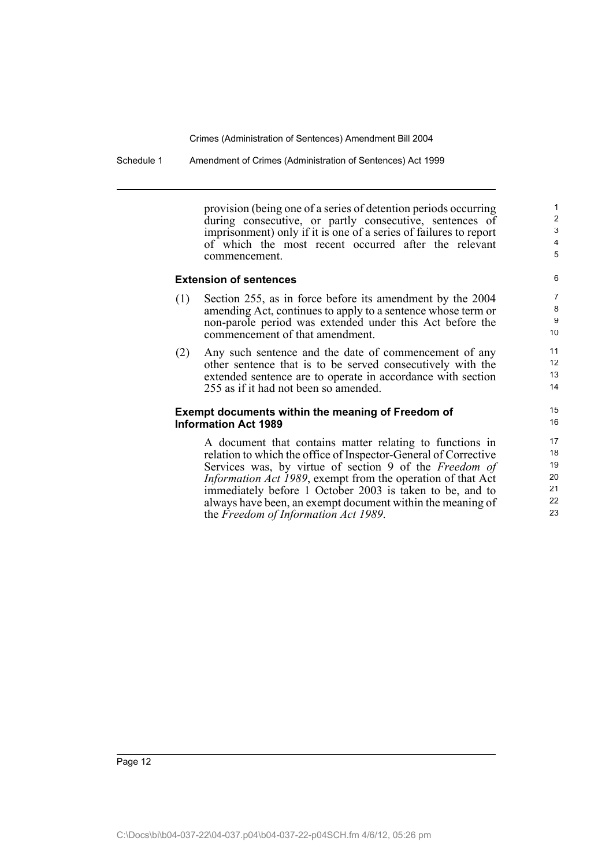Schedule 1 Amendment of Crimes (Administration of Sentences) Act 1999

provision (being one of a series of detention periods occurring during consecutive, or partly consecutive, sentences of imprisonment) only if it is one of a series of failures to report of which the most recent occurred after the relevant commencement.

#### **Extension of sentences**

- (1) Section 255, as in force before its amendment by the 2004 amending Act, continues to apply to a sentence whose term or non-parole period was extended under this Act before the commencement of that amendment.
- (2) Any such sentence and the date of commencement of any other sentence that is to be served consecutively with the extended sentence are to operate in accordance with section 255 as if it had not been so amended.

### **Exempt documents within the meaning of Freedom of Information Act 1989**

A document that contains matter relating to functions in relation to which the office of Inspector-General of Corrective Services was, by virtue of section 9 of the *Freedom of Information Act 1989*, exempt from the operation of that Act immediately before 1 October 2003 is taken to be, and to always have been, an exempt document within the meaning of the *Freedom of Information Act 1989*.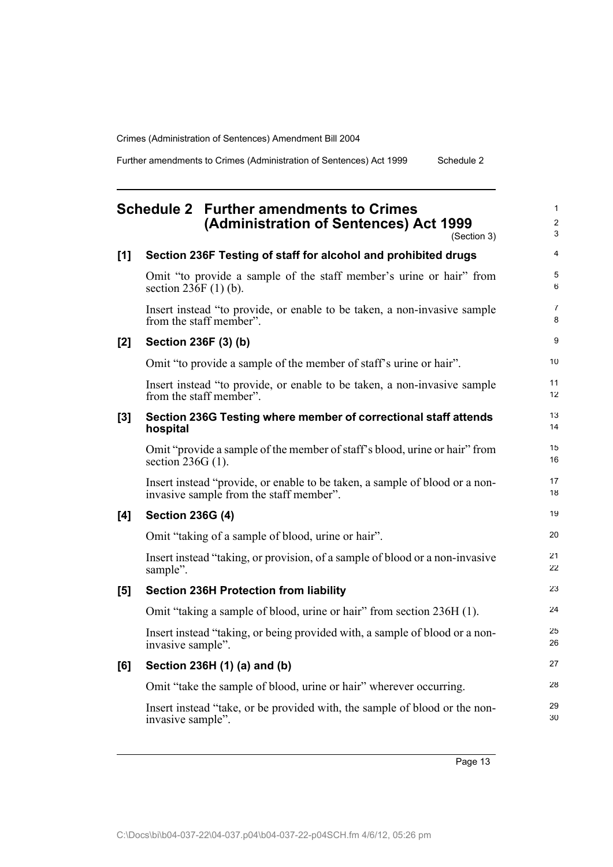Further amendments to Crimes (Administration of Sentences) Act 1999 Schedule 2

|       | <b>Schedule 2 Further amendments to Crimes</b><br>(Administration of Sentences) Act 1999<br>(Section 3)                | 1<br>2<br>3 |
|-------|------------------------------------------------------------------------------------------------------------------------|-------------|
| [1]   | Section 236F Testing of staff for alcohol and prohibited drugs                                                         | 4           |
|       | Omit "to provide a sample of the staff member's urine or hair" from<br>section $236F(1)(b)$ .                          | 5<br>6      |
|       | Insert instead "to provide, or enable to be taken, a non-invasive sample<br>from the staff member".                    | 7<br>8      |
| [2]   | Section 236F (3) (b)                                                                                                   | 9           |
|       | Omit "to provide a sample of the member of staff's urine or hair".                                                     | 10          |
|       | Insert instead "to provide, or enable to be taken, a non-invasive sample<br>from the staff member".                    | 11<br>12    |
| $[3]$ | Section 236G Testing where member of correctional staff attends<br>hospital                                            | 13<br>14    |
|       | Omit "provide a sample of the member of staff's blood, urine or hair" from<br>section $236G(1)$ .                      | 15<br>16    |
|       | Insert instead "provide, or enable to be taken, a sample of blood or a non-<br>invasive sample from the staff member". | 17<br>18    |
| [4]   | <b>Section 236G (4)</b>                                                                                                | 19          |
|       | Omit "taking of a sample of blood, urine or hair".                                                                     | 20          |
|       | Insert instead "taking, or provision, of a sample of blood or a non-invasive<br>sample".                               | 21<br>22    |
| $[5]$ | <b>Section 236H Protection from liability</b>                                                                          | 23          |
|       | Omit "taking a sample of blood, urine or hair" from section 236H (1).                                                  | 24          |
|       | Insert instead "taking, or being provided with, a sample of blood or a non-<br>invasive sample".                       | 25<br>26    |
| [6]   | Section 236H (1) (a) and (b)                                                                                           | 27          |
|       | Omit "take the sample of blood, urine or hair" wherever occurring.                                                     | 28          |
|       | Insert instead "take, or be provided with, the sample of blood or the non-<br>invasive sample".                        | 29<br>30    |
|       |                                                                                                                        |             |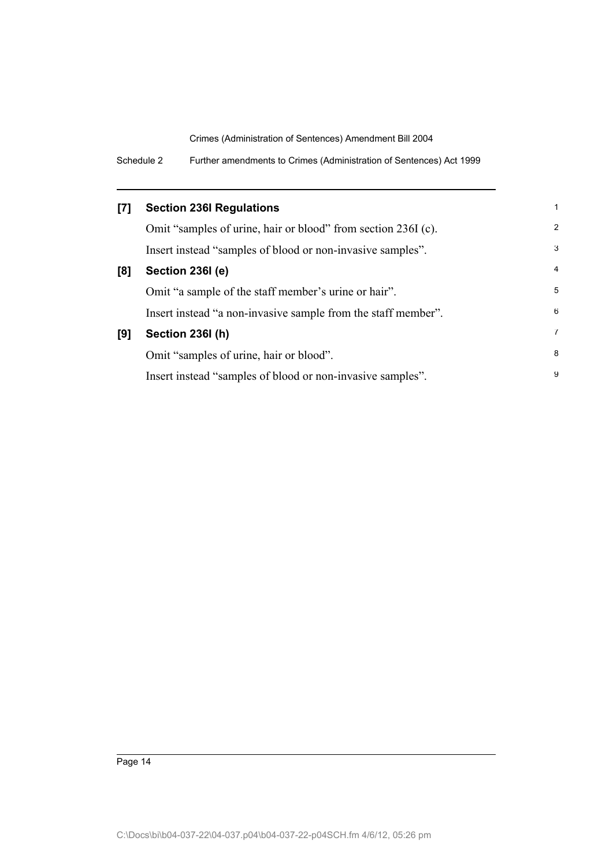Schedule 2 Further amendments to Crimes (Administration of Sentences) Act 1999

| $[7]$ | <b>Section 236I Regulations</b>                               | $\mathbf{1}$   |
|-------|---------------------------------------------------------------|----------------|
|       | Omit "samples of urine, hair or blood" from section 236I (c). | $\overline{2}$ |
|       | Insert instead "samples of blood or non-invasive samples".    | 3              |
| [8]   | Section 236I (e)                                              | $\overline{4}$ |
|       | Omit "a sample of the staff member's urine or hair".          | 5              |
|       | Insert instead "a non-invasive sample from the staff member". | 6              |
| [9]   | Section 236I (h)                                              | $\overline{7}$ |
|       | Omit "samples of urine, hair or blood".                       | 8              |
|       | Insert instead "samples of blood or non-invasive samples".    | 9              |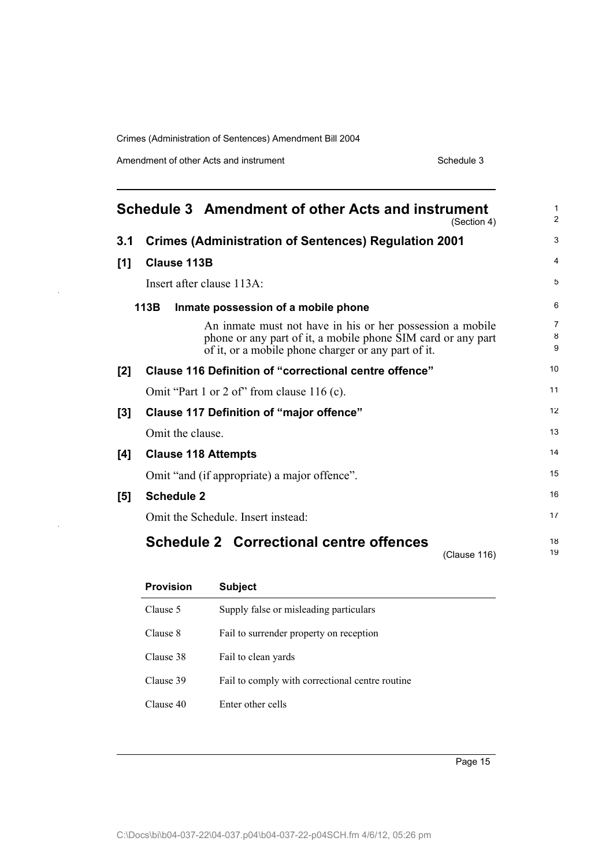Amendment of other Acts and instrument Schedule 3

 $\ddot{\phantom{1}}$ 

|       |                            | Schedule 3 Amendment of other Acts and instrument                                                                                                                                | (Section 4)  | 1<br>$\overline{2}$ |
|-------|----------------------------|----------------------------------------------------------------------------------------------------------------------------------------------------------------------------------|--------------|---------------------|
| 3.1   |                            | <b>Crimes (Administration of Sentences) Regulation 2001</b>                                                                                                                      |              | 3                   |
| [1]   | <b>Clause 113B</b>         |                                                                                                                                                                                  |              | 4                   |
|       |                            | Insert after clause 113A:                                                                                                                                                        |              | 5                   |
|       | 113B                       | Inmate possession of a mobile phone                                                                                                                                              |              | 6                   |
|       |                            | An inmate must not have in his or her possession a mobile<br>phone or any part of it, a mobile phone SIM card or any part<br>of it, or a mobile phone charger or any part of it. |              | 7<br>8<br>9         |
| [2]   |                            | Clause 116 Definition of "correctional centre offence"                                                                                                                           |              | 10                  |
|       |                            | Omit "Part 1 or 2 of" from clause $116$ (c).                                                                                                                                     |              | 11                  |
| $[3]$ |                            | Clause 117 Definition of "major offence"                                                                                                                                         |              | 12                  |
|       | Omit the clause.           |                                                                                                                                                                                  |              | 13                  |
| [4]   | <b>Clause 118 Attempts</b> |                                                                                                                                                                                  |              | 14                  |
|       |                            | Omit "and (if appropriate) a major offence".                                                                                                                                     |              | 15                  |
| $[5]$ | <b>Schedule 2</b>          |                                                                                                                                                                                  |              | 16                  |
|       |                            | Omit the Schedule. Insert instead:                                                                                                                                               |              | 17                  |
|       |                            | <b>Schedule 2 Correctional centre offences</b>                                                                                                                                   | (Clause 116) | 18<br>19            |

| <b>Subject</b>                                  |
|-------------------------------------------------|
| Supply false or misleading particulars          |
| Fail to surrender property on reception         |
| Fail to clean yards                             |
| Fail to comply with correctional centre routine |
| Enter other cells                               |
|                                                 |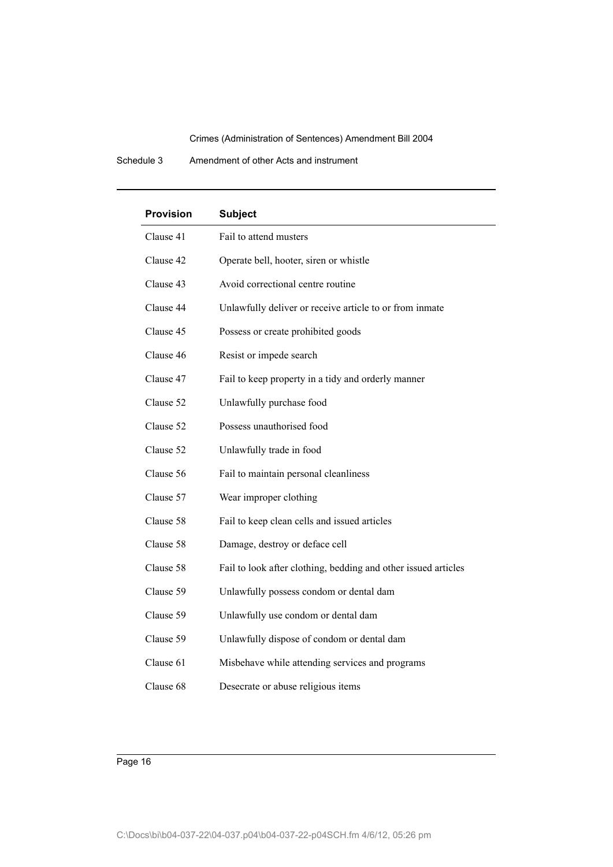Schedule 3 Amendment of other Acts and instrument

| <b>Provision</b> | <b>Subject</b>                                                 |
|------------------|----------------------------------------------------------------|
| Clause 41        | Fail to attend musters                                         |
| Clause 42        | Operate bell, hooter, siren or whistle                         |
| Clause 43        | Avoid correctional centre routine                              |
| Clause 44        | Unlawfully deliver or receive article to or from inmate        |
| Clause 45        | Possess or create prohibited goods                             |
| Clause 46        | Resist or impede search                                        |
| Clause 47        | Fail to keep property in a tidy and orderly manner             |
| Clause 52        | Unlawfully purchase food                                       |
| Clause 52        | Possess unauthorised food                                      |
| Clause 52        | Unlawfully trade in food                                       |
| Clause 56        | Fail to maintain personal cleanliness                          |
| Clause 57        | Wear improper clothing                                         |
| Clause 58        | Fail to keep clean cells and issued articles                   |
| Clause 58        | Damage, destroy or deface cell                                 |
| Clause 58        | Fail to look after clothing, bedding and other issued articles |
| Clause 59        | Unlawfully possess condom or dental dam                        |
| Clause 59        | Unlawfully use condom or dental dam                            |
| Clause 59        | Unlawfully dispose of condom or dental dam                     |
| Clause 61        | Misbehave while attending services and programs                |
| Clause 68        | Desecrate or abuse religious items                             |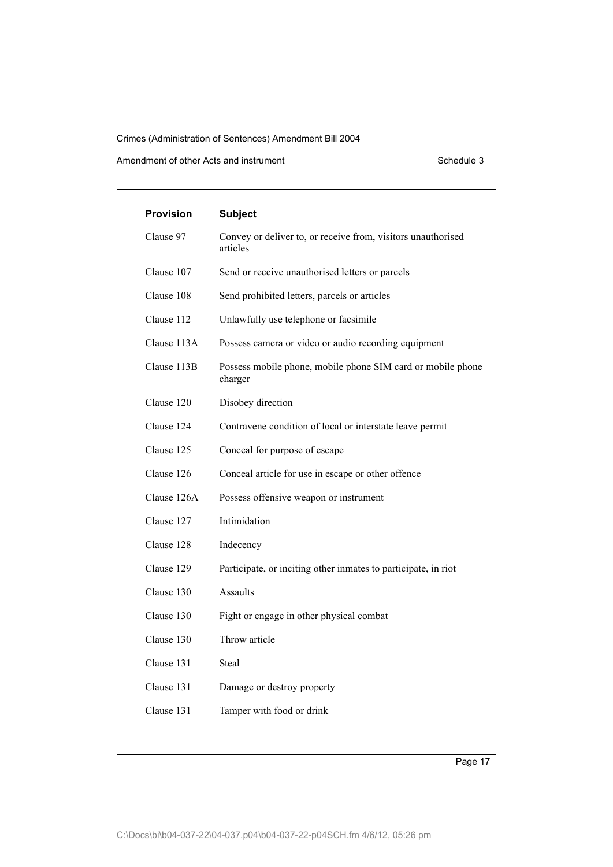Amendment of other Acts and instrument Schedule 3

| <b>Provision</b> | <b>Subject</b>                                                           |
|------------------|--------------------------------------------------------------------------|
| Clause 97        | Convey or deliver to, or receive from, visitors unauthorised<br>articles |
| Clause 107       | Send or receive unauthorised letters or parcels                          |
| Clause 108       | Send prohibited letters, parcels or articles                             |
| Clause 112       | Unlawfully use telephone or facsimile                                    |
| Clause 113A      | Possess camera or video or audio recording equipment                     |
| Clause 113B      | Possess mobile phone, mobile phone SIM card or mobile phone<br>charger   |
| Clause 120       | Disobey direction                                                        |
| Clause 124       | Contravene condition of local or interstate leave permit                 |
| Clause 125       | Conceal for purpose of escape                                            |
| Clause 126       | Conceal article for use in escape or other offence                       |
| Clause 126A      | Possess offensive weapon or instrument                                   |
| Clause 127       | Intimidation                                                             |
| Clause 128       | Indecency                                                                |
| Clause 129       | Participate, or inciting other inmates to participate, in riot           |
| Clause 130       | <b>Assaults</b>                                                          |
| Clause 130       | Fight or engage in other physical combat                                 |
| Clause 130       | Throw article                                                            |
| Clause 131       | Steal                                                                    |
| Clause 131       | Damage or destroy property                                               |
| Clause 131       | Tamper with food or drink                                                |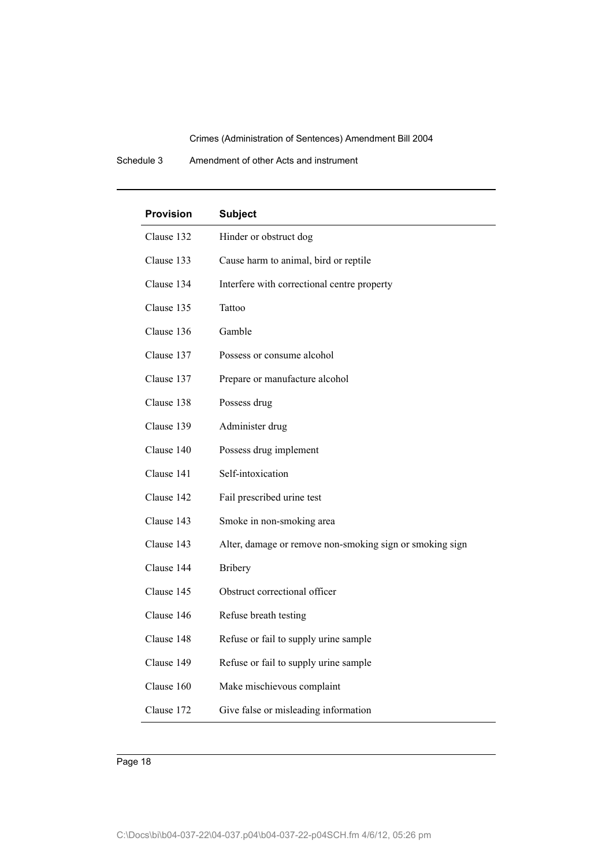Schedule 3 Amendment of other Acts and instrument

| <b>Provision</b> | <b>Subject</b>                                           |
|------------------|----------------------------------------------------------|
| Clause 132       | Hinder or obstruct dog                                   |
| Clause 133       | Cause harm to animal, bird or reptile                    |
| Clause 134       | Interfere with correctional centre property              |
| Clause 135       | Tattoo                                                   |
| Clause 136       | Gamble                                                   |
| Clause 137       | Possess or consume alcohol                               |
| Clause 137       | Prepare or manufacture alcohol                           |
| Clause 138       | Possess drug                                             |
| Clause 139       | Administer drug                                          |
| Clause 140       | Possess drug implement                                   |
| Clause 141       | Self-intoxication                                        |
| Clause 142       | Fail prescribed urine test                               |
| Clause 143       | Smoke in non-smoking area                                |
| Clause 143       | Alter, damage or remove non-smoking sign or smoking sign |
| Clause 144       | <b>Bribery</b>                                           |
| Clause 145       | Obstruct correctional officer                            |
| Clause 146       | Refuse breath testing                                    |
| Clause 148       | Refuse or fail to supply urine sample                    |
| Clause 149       | Refuse or fail to supply urine sample                    |
| Clause 160       | Make mischievous complaint                               |
| Clause 172       | Give false or misleading information                     |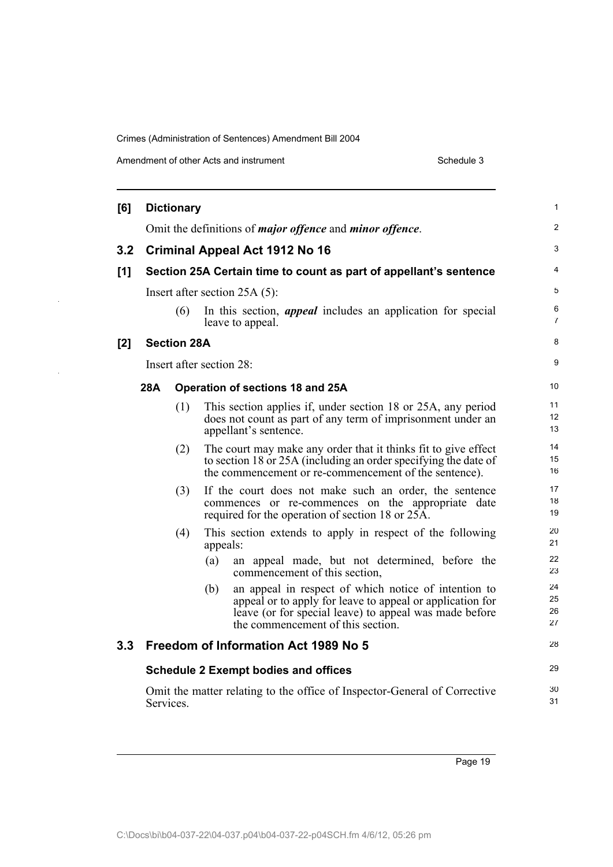| [6] |                                                                                        | <b>Dictionary</b>  |                                                                                                                                                                                                                         | 1                    |
|-----|----------------------------------------------------------------------------------------|--------------------|-------------------------------------------------------------------------------------------------------------------------------------------------------------------------------------------------------------------------|----------------------|
|     |                                                                                        |                    | Omit the definitions of <i>major offence</i> and <i>minor offence</i> .                                                                                                                                                 | $\overline{c}$       |
| 3.2 |                                                                                        |                    | <b>Criminal Appeal Act 1912 No 16</b>                                                                                                                                                                                   | 3                    |
| [1] |                                                                                        |                    | Section 25A Certain time to count as part of appellant's sentence                                                                                                                                                       | 4                    |
|     |                                                                                        |                    | Insert after section $25A(5)$ :                                                                                                                                                                                         | 5                    |
|     |                                                                                        | (6)                | In this section, <i>appeal</i> includes an application for special<br>leave to appeal.                                                                                                                                  | 6<br>$\overline{7}$  |
| [2] |                                                                                        | <b>Section 28A</b> |                                                                                                                                                                                                                         | 8                    |
|     |                                                                                        |                    | Insert after section 28:                                                                                                                                                                                                | 9                    |
|     | 28A                                                                                    |                    | Operation of sections 18 and 25A                                                                                                                                                                                        | 10                   |
|     |                                                                                        | (1)                | This section applies if, under section 18 or 25A, any period<br>does not count as part of any term of imprisonment under an<br>appellant's sentence.                                                                    | 11<br>12<br>13       |
|     |                                                                                        | (2)                | The court may make any order that it thinks fit to give effect<br>to section 18 or 25A (including an order specifying the date of<br>the commencement or re-commencement of the sentence).                              | 14<br>15<br>16       |
|     |                                                                                        | (3)                | If the court does not make such an order, the sentence<br>commences or re-commences on the appropriate date<br>required for the operation of section 18 or 25A.                                                         | 17<br>18<br>19       |
|     |                                                                                        | (4)                | This section extends to apply in respect of the following<br>appeals:                                                                                                                                                   | 20<br>21             |
|     |                                                                                        |                    | an appeal made, but not determined, before the<br>(a)<br>commencement of this section,                                                                                                                                  | 22<br>23             |
|     |                                                                                        |                    | an appeal in respect of which notice of intention to<br>(b)<br>appeal or to apply for leave to appeal or application for<br>leave (or for special leave) to appeal was made before<br>the commencement of this section. | 24<br>25<br>26<br>27 |
| 3.3 |                                                                                        |                    | Freedom of Information Act 1989 No 5                                                                                                                                                                                    | 28                   |
|     | <b>Schedule 2 Exempt bodies and offices</b>                                            |                    |                                                                                                                                                                                                                         | 29                   |
|     | Omit the matter relating to the office of Inspector-General of Corrective<br>Services. |                    | 30<br>31                                                                                                                                                                                                                |                      |